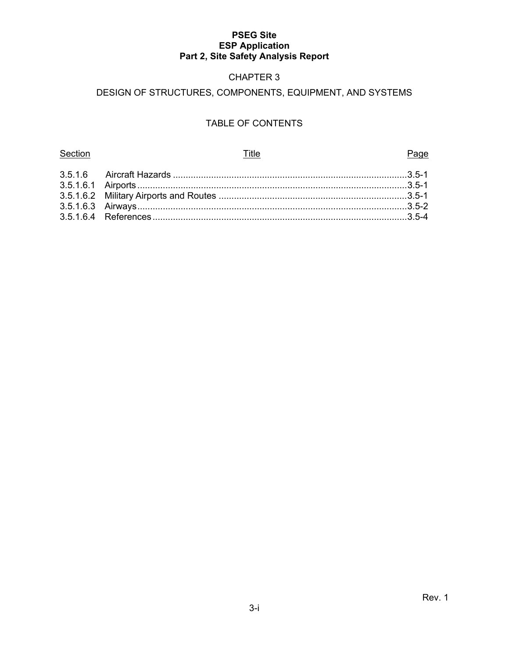# CHAPTER 3

# DESIGN OF STRUCTURES, COMPONENTS, EQUIPMENT, AND SYSTEMS

# TABLE OF CONTENTS

| Section<br>Title | Page |
|------------------|------|
|                  |      |
|                  |      |
|                  |      |
|                  |      |
|                  |      |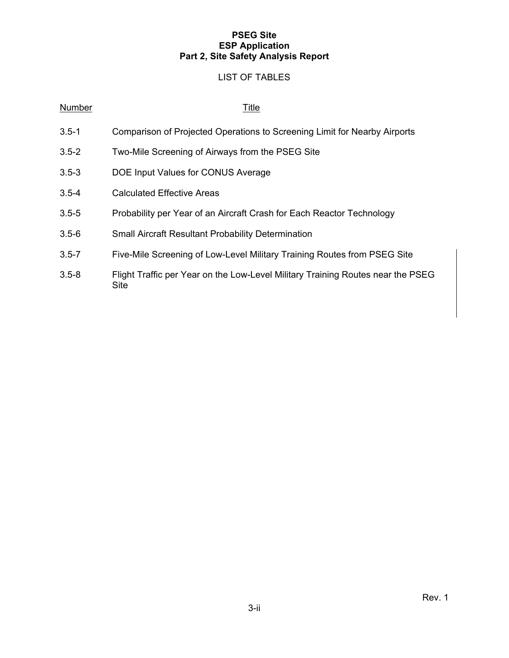## LIST OF TABLES

#### Number Title

- 3.5-1 Comparison of Projected Operations to Screening Limit for Nearby Airports
- 3.5-2 Two-Mile Screening of Airways from the PSEG Site
- 3.5-3 DOE Input Values for CONUS Average
- 3.5-4 Calculated Effective Areas
- 3.5-5 Probability per Year of an Aircraft Crash for Each Reactor Technology
- 3.5-6 Small Aircraft Resultant Probability Determination
- 3.5-7 Five-Mile Screening of Low-Level Military Training Routes from PSEG Site
- 3.5-8 Flight Traffic per Year on the Low-Level Military Training Routes near the PSEG Site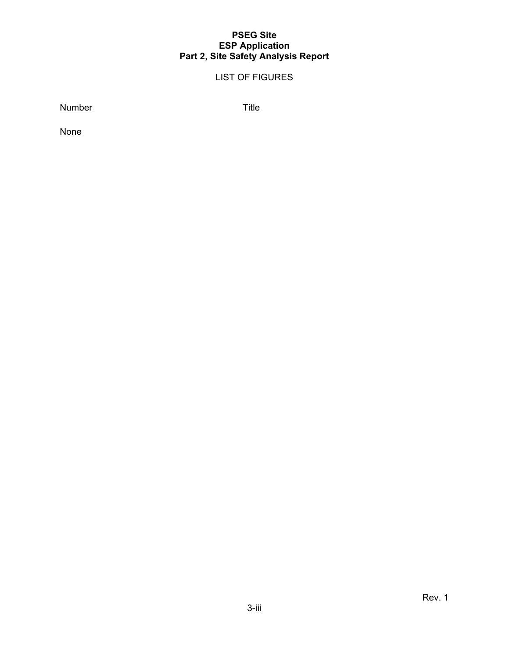# LIST OF FIGURES

Number Title

None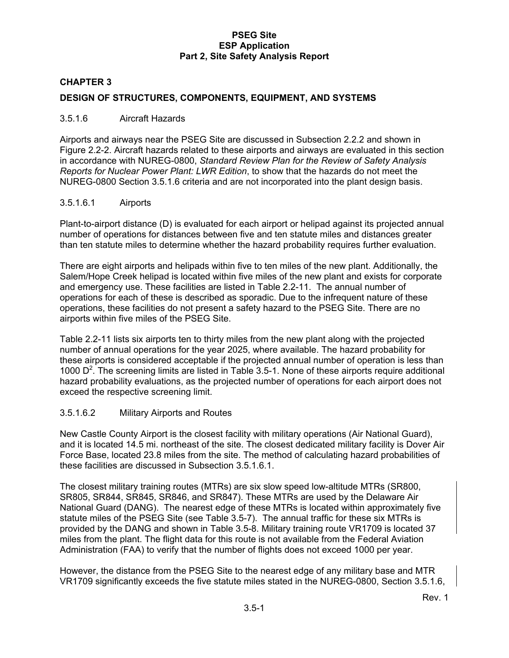## **CHAPTER 3**

#### **DESIGN OF STRUCTURES, COMPONENTS, EQUIPMENT, AND SYSTEMS**

#### 3.5.1.6 Aircraft Hazards

Airports and airways near the PSEG Site are discussed in Subsection 2.2.2 and shown in Figure 2.2-2. Aircraft hazards related to these airports and airways are evaluated in this section in accordance with NUREG-0800, *Standard Review Plan for the Review of Safety Analysis Reports for Nuclear Power Plant: LWR Edition*, to show that the hazards do not meet the NUREG-0800 Section 3.5.1.6 criteria and are not incorporated into the plant design basis.

#### 3.5.1.6.1 Airports

Plant-to-airport distance (D) is evaluated for each airport or helipad against its projected annual number of operations for distances between five and ten statute miles and distances greater than ten statute miles to determine whether the hazard probability requires further evaluation.

There are eight airports and helipads within five to ten miles of the new plant. Additionally, the Salem/Hope Creek helipad is located within five miles of the new plant and exists for corporate and emergency use. These facilities are listed in Table 2.2-11. The annual number of operations for each of these is described as sporadic. Due to the infrequent nature of these operations, these facilities do not present a safety hazard to the PSEG Site. There are no airports within five miles of the PSEG Site.

Table 2.2-11 lists six airports ten to thirty miles from the new plant along with the projected number of annual operations for the year 2025, where available. The hazard probability for these airports is considered acceptable if the projected annual number of operation is less than 1000  $D<sup>2</sup>$ . The screening limits are listed in Table 3.5-1. None of these airports require additional hazard probability evaluations, as the projected number of operations for each airport does not exceed the respective screening limit.

#### 3.5.1.6.2 Military Airports and Routes

New Castle County Airport is the closest facility with military operations (Air National Guard), and it is located 14.5 mi. northeast of the site. The closest dedicated military facility is Dover Air Force Base, located 23.8 miles from the site. The method of calculating hazard probabilities of these facilities are discussed in Subsection 3.5.1.6.1.

The closest military training routes (MTRs) are six slow speed low-altitude MTRs (SR800, SR805, SR844, SR845, SR846, and SR847). These MTRs are used by the Delaware Air National Guard (DANG). The nearest edge of these MTRs is located within approximately five statute miles of the PSEG Site (see Table 3.5-7). The annual traffic for these six MTRs is provided by the DANG and shown in Table 3.5-8. Military training route VR1709 is located 37 miles from the plant. The flight data for this route is not available from the Federal Aviation Administration (FAA) to verify that the number of flights does not exceed 1000 per year.

However, the distance from the PSEG Site to the nearest edge of any military base and MTR VR1709 significantly exceeds the five statute miles stated in the NUREG-0800, Section 3.5.1.6,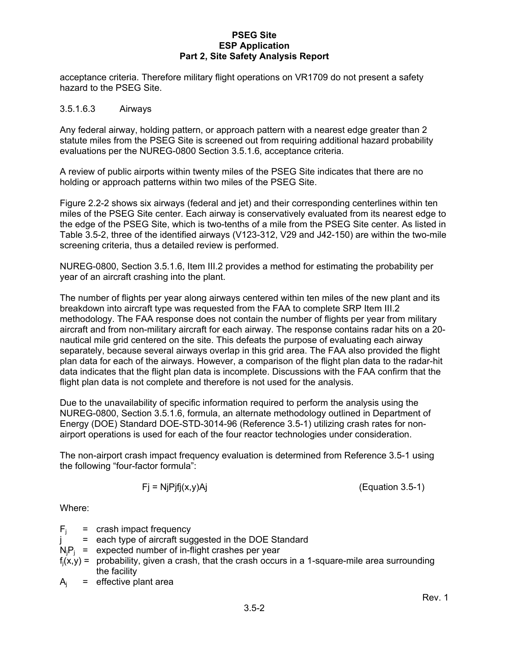acceptance criteria. Therefore military flight operations on VR1709 do not present a safety hazard to the PSEG Site.

#### 3.5.1.6.3 Airways

Any federal airway, holding pattern, or approach pattern with a nearest edge greater than 2 statute miles from the PSEG Site is screened out from requiring additional hazard probability evaluations per the NUREG-0800 Section 3.5.1.6, acceptance criteria.

A review of public airports within twenty miles of the PSEG Site indicates that there are no holding or approach patterns within two miles of the PSEG Site.

Figure 2.2-2 shows six airways (federal and jet) and their corresponding centerlines within ten miles of the PSEG Site center. Each airway is conservatively evaluated from its nearest edge to the edge of the PSEG Site, which is two-tenths of a mile from the PSEG Site center. As listed in Table 3.5-2, three of the identified airways (V123-312, V29 and J42-150) are within the two-mile screening criteria, thus a detailed review is performed.

NUREG-0800, Section 3.5.1.6, Item III.2 provides a method for estimating the probability per year of an aircraft crashing into the plant.

The number of flights per year along airways centered within ten miles of the new plant and its breakdown into aircraft type was requested from the FAA to complete SRP Item III.2 methodology. The FAA response does not contain the number of flights per year from military aircraft and from non-military aircraft for each airway. The response contains radar hits on a 20 nautical mile grid centered on the site. This defeats the purpose of evaluating each airway separately, because several airways overlap in this grid area. The FAA also provided the flight plan data for each of the airways. However, a comparison of the flight plan data to the radar-hit data indicates that the flight plan data is incomplete. Discussions with the FAA confirm that the flight plan data is not complete and therefore is not used for the analysis.

Due to the unavailability of specific information required to perform the analysis using the NUREG-0800, Section 3.5.1.6, formula, an alternate methodology outlined in Department of Energy (DOE) Standard DOE-STD-3014-96 (Reference 3.5-1) utilizing crash rates for nonairport operations is used for each of the four reactor technologies under consideration.

The non-airport crash impact frequency evaluation is determined from Reference 3.5-1 using the following "four-factor formula":

$$
Fj = NjPjfj(x,y)Aj
$$
 (Equation 3.5-1)

Where:

|  | $F_i$ = crash impact frequency                                                                     |
|--|----------------------------------------------------------------------------------------------------|
|  | = each type of aircraft suggested in the DOE Standard                                              |
|  | $N_iP_i$ = expected number of in-flight crashes per year                                           |
|  | $f_i(x,y)$ = probability, given a crash, that the crash occurs in a 1-square-mile area surrounding |
|  | the facility                                                                                       |
|  | $A_i$ = effective plant area                                                                       |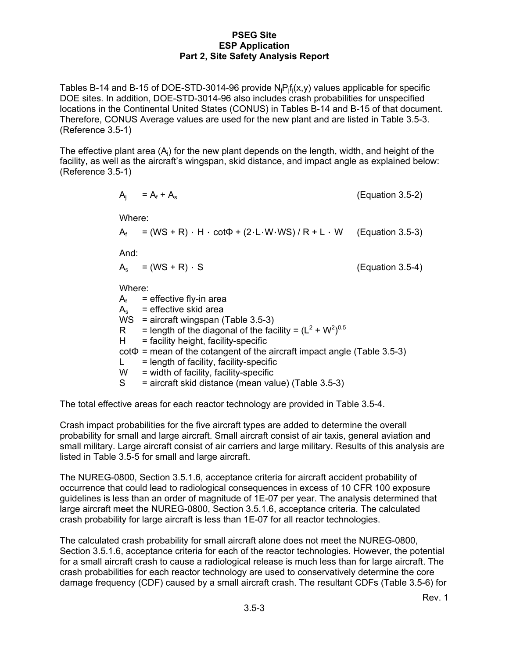Tables B-14 and B-15 of DOE-STD-3014-96 provide  $N_iP_i f_i(x,y)$  values applicable for specific DOE sites. In addition, DOE-STD-3014-96 also includes crash probabilities for unspecified locations in the Continental United States (CONUS) in Tables B-14 and B-15 of that document. Therefore, CONUS Average values are used for the new plant and are listed in Table 3.5-3. (Reference 3.5-1)

The effective plant area  $(A<sub>i</sub>)$  for the new plant depends on the length, width, and height of the facility, as well as the aircraft's wingspan, skid distance, and impact angle as explained below: (Reference 3.5-1)

\n- \n
$$
A_i = A_f + A_s
$$
\n (Equation 3.5-2)\n
\n- \n Where:\n  $A_f = (WS + R) \cdot H \cdot \cot \Phi + (2 \cdot L \cdot W \cdot WS) / R + L \cdot W$ \n (Equation 3.5-3)\n
\n- \n And:\n  $A_s = (WS + R) \cdot S$ \n (Equation 3.5-4)\n
\n- \n Where:\n  $A_f = \text{effective fly-in area}$ \n $A_s = \text{effective skid area}$ \n $WS = \text{aircraft wingspan} (Table 3.5-3)$ \n $R = \text{length of the diagonal of the facility} = (L^2 + W^2)^{0.5}$ \n $H = \text{facility height, facility-specific} \cot \Phi = \text{mean of the cotangent of the aircraft impact angle} (Table 3.5-3)$ \n $L = \text{length of facility, facility-specific}$ \n $W = \text{width of facility, facility-specific}$ \n $S = \text{aircraft skid distance (mean value)} (Table 3.5-3)$ \n
\n

The total effective areas for each reactor technology are provided in Table 3.5-4.

Crash impact probabilities for the five aircraft types are added to determine the overall probability for small and large aircraft. Small aircraft consist of air taxis, general aviation and small military. Large aircraft consist of air carriers and large military. Results of this analysis are listed in Table 3.5-5 for small and large aircraft.

The NUREG-0800, Section 3.5.1.6, acceptance criteria for aircraft accident probability of occurrence that could lead to radiological consequences in excess of 10 CFR 100 exposure guidelines is less than an order of magnitude of 1E-07 per year. The analysis determined that large aircraft meet the NUREG-0800, Section 3.5.1.6, acceptance criteria. The calculated crash probability for large aircraft is less than 1E-07 for all reactor technologies.

The calculated crash probability for small aircraft alone does not meet the NUREG-0800, Section 3.5.1.6, acceptance criteria for each of the reactor technologies. However, the potential for a small aircraft crash to cause a radiological release is much less than for large aircraft. The crash probabilities for each reactor technology are used to conservatively determine the core damage frequency (CDF) caused by a small aircraft crash. The resultant CDFs (Table 3.5-6) for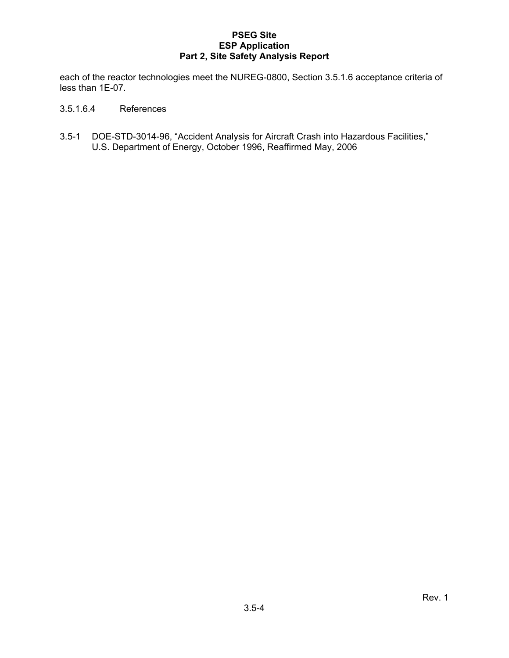each of the reactor technologies meet the NUREG-0800, Section 3.5.1.6 acceptance criteria of less than 1E-07.

- 3.5.1.6.4 References
- 3.5-1 DOE-STD-3014-96, "Accident Analysis for Aircraft Crash into Hazardous Facilities," U.S. Department of Energy, October 1996, Reaffirmed May, 2006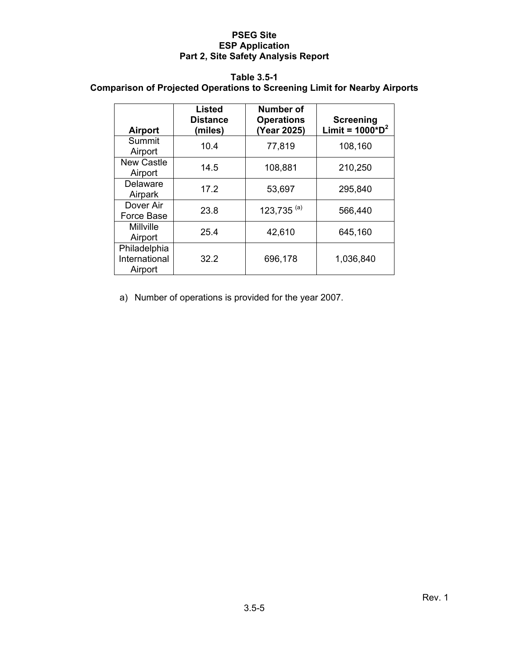#### **Table 3.5-1**

# **Comparison of Projected Operations to Screening Limit for Nearby Airports**

| <b>Airport</b>                           | Listed<br><b>Distance</b><br>(miles) | <b>Number of</b><br><b>Operations</b><br>(Year 2025) | <b>Screening</b><br>Limit = $1000^{\ast}D^{2}$ |
|------------------------------------------|--------------------------------------|------------------------------------------------------|------------------------------------------------|
| Summit<br>Airport                        | 10.4                                 | 77,819                                               | 108,160                                        |
| <b>New Castle</b><br>Airport             | 14.5                                 | 108,881                                              | 210,250                                        |
| Delaware<br>Airpark                      | 17.2                                 | 53,697                                               | 295,840                                        |
| Dover Air<br>Force Base                  | 23.8                                 | 123,735 $(a)$                                        | 566,440                                        |
| <b>Millville</b><br>Airport              | 25.4                                 | 42,610                                               | 645,160                                        |
| Philadelphia<br>International<br>Airport | 32.2                                 | 696,178                                              | 1,036,840                                      |

a) Number of operations is provided for the year 2007.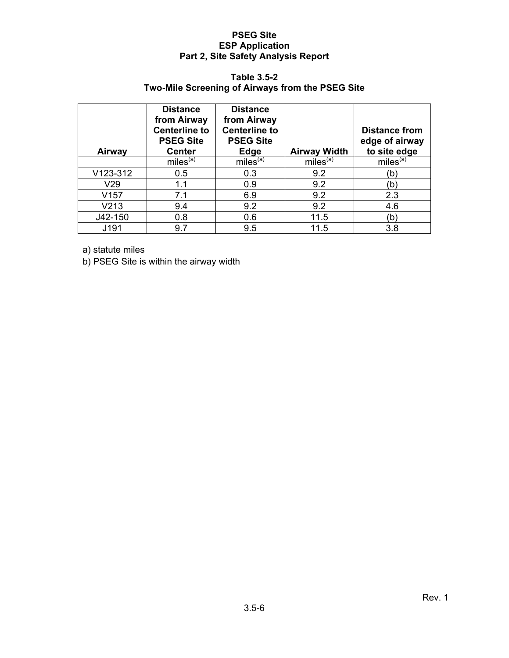## **Table 3.5-2**

# **Two-Mile Screening of Airways from the PSEG Site**

| Airway   | <b>Distance</b><br>from Airway<br><b>Centerline to</b><br><b>PSEG Site</b><br><b>Center</b> | <b>Distance</b><br>from Airway<br><b>Centerline to</b><br><b>PSEG Site</b><br><b>Edge</b> | <b>Airway Width</b>  | <b>Distance from</b><br>edge of airway<br>to site edge |
|----------|---------------------------------------------------------------------------------------------|-------------------------------------------------------------------------------------------|----------------------|--------------------------------------------------------|
|          | miles <sup>(a)</sup>                                                                        | miles <sup>(a)</sup>                                                                      | miles <sup>(a)</sup> | miles <sup>(a)</sup>                                   |
| V123-312 | 0.5                                                                                         | 0.3                                                                                       | 9.2                  | 'b`                                                    |
| V29      | 1.1                                                                                         | 0.9                                                                                       | 9.2                  | b,                                                     |
| V157     | 7.1                                                                                         | 6.9                                                                                       | 9.2                  | 2.3                                                    |
| V213     | 9.4                                                                                         | 9.2                                                                                       | 9.2                  | 4.6                                                    |
| J42-150  | 0.8                                                                                         | 0.6                                                                                       | 11.5                 | (b)                                                    |
| J191     | 9.7                                                                                         | 9.5                                                                                       | 11.5                 | 3.8                                                    |

a) statute miles

b) PSEG Site is within the airway width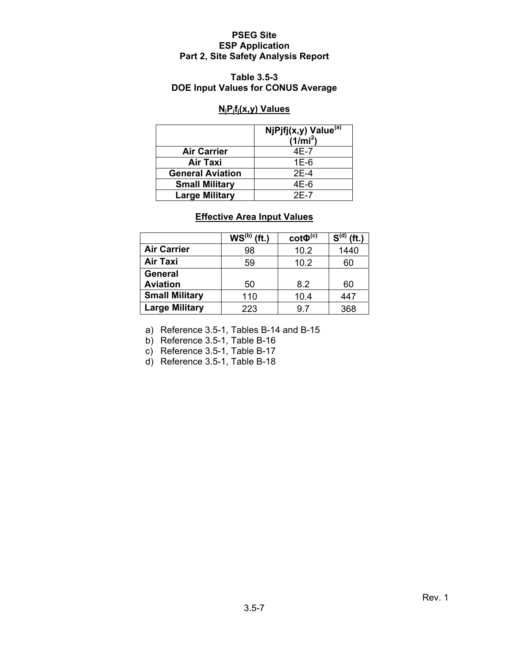## **Table 3.5-3 DOE Input Values for CONUS Average**

## **NjPjfj(x,y) Values**

|                         | NjPjfj(x,y) Value <sup>(a)</sup><br>$(1/\text{mi}^2)$ |
|-------------------------|-------------------------------------------------------|
| <b>Air Carrier</b>      | 4E-7                                                  |
| Air Taxi                | $1E-6$                                                |
| <b>General Aviation</b> | $2E-4$                                                |
| <b>Small Military</b>   | 4E-6                                                  |
| <b>Large Military</b>   | $2F-7$                                                |

# **Effective Area Input Values**

|                       | WS <sup>(b)</sup> | $\cot\Phi^{(c)}$ | $S^{(d)}$<br>ft.) |
|-----------------------|-------------------|------------------|-------------------|
| <b>Air Carrier</b>    | 98                | 10.2             | 1440              |
| <b>Air Taxi</b>       | 59                | 10.2             | 60                |
| <b>General</b>        |                   |                  |                   |
| <b>Aviation</b>       | 50                | 8.2              | 60                |
| <b>Small Military</b> | 110               | 10.4             | 447               |
| <b>Large Military</b> | 223               | 97               | 368               |

a) Reference 3.5-1, Tables B-14 and B-15

b) Reference 3.5-1, Table B-16

c) Reference 3.5-1, Table B-17

d) Reference 3.5-1, Table B-18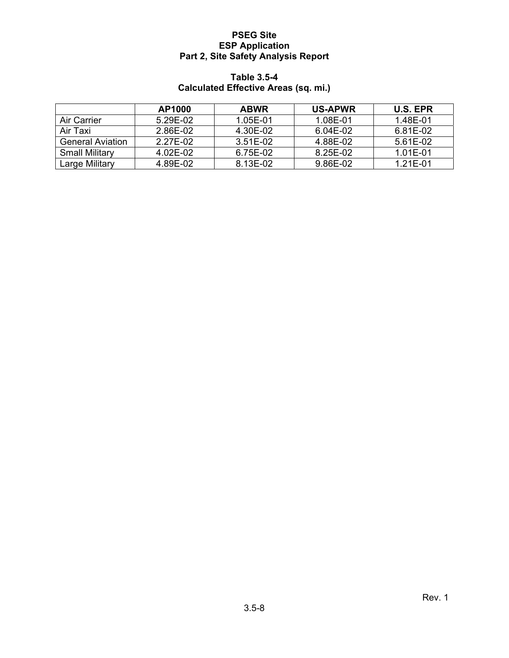## **Table 3.5-4 Calculated Effective Areas (sq. mi.)**

|                         | AP1000   | <b>ABWR</b> | <b>US-APWR</b> | U.S. EPR |
|-------------------------|----------|-------------|----------------|----------|
| Air Carrier             | 5.29E-02 | 1.05E-01    | 1.08E-01       | 1.48E-01 |
| Air Taxi                | 2.86E-02 | 4.30E-02    | 6.04E-02       | 6.81E-02 |
| <b>General Aviation</b> | 2.27E-02 | 3.51E-02    | 4.88E-02       | 5.61E-02 |
| <b>Small Military</b>   | 4.02E-02 | 6.75E-02    | 8.25E-02       | 1.01E-01 |
| Large Military          | 4.89E-02 | 8.13E-02    | 9.86E-02       | 1.21E-01 |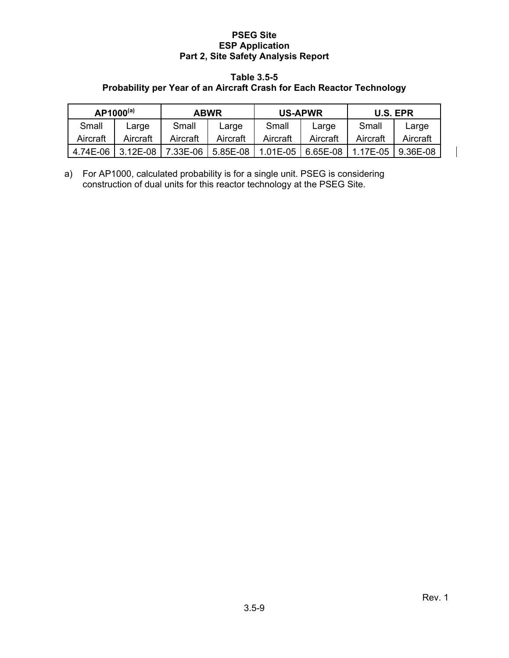#### **Table 3.5-5**

# **Probability per Year of an Aircraft Crash for Each Reactor Technology**

| $AP1000^{(a)}$<br><b>ABWR</b> |            | <b>US-APWR</b> |          | <b>U.S. EPR</b>                           |          |          |             |
|-------------------------------|------------|----------------|----------|-------------------------------------------|----------|----------|-------------|
| Small                         | Large      | Small          | Large    | Small                                     | Large    | Small    | Large       |
| Aircraft                      | Aircraft   | Aircraft       | Aircraft | Aircraft                                  | Aircraft | Aircraft | Aircraft    |
| 4.74E-06                      | $3.12E-08$ |                |          | 7.33E-06   5.85E-08   1.01E-05   6.65E-08 |          | 1.17E-05 | $19.36E-08$ |

a) For AP1000, calculated probability is for a single unit. PSEG is considering construction of dual units for this reactor technology at the PSEG Site.

 $\overline{\phantom{a}}$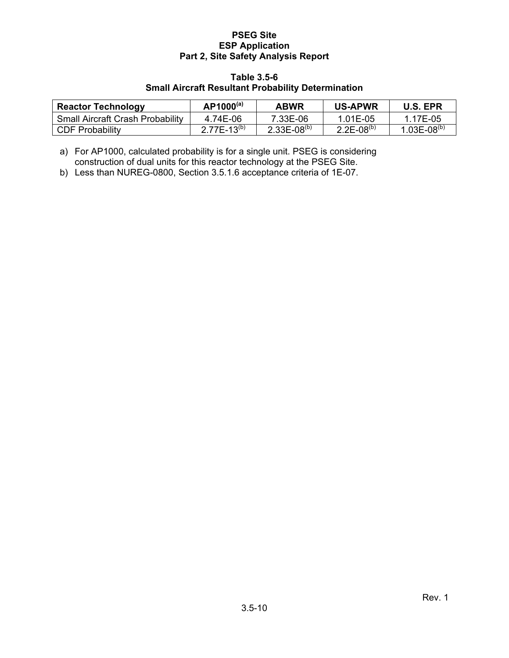#### **Table 3.5-6**

# **Small Aircraft Resultant Probability Determination**

| <b>Reactor Technology</b>               | $AP1000^{(a)}$          | <b>ABWR</b>        | <b>US-APWR</b>    | <b>U.S. EPR</b>    |
|-----------------------------------------|-------------------------|--------------------|-------------------|--------------------|
| <b>Small Aircraft Crash Probability</b> | 4.74E-06                | 7.33E-06           | 1.01E-05          | 1 17F-05           |
| CDF Probability                         | 2 77F-13 <sup>(b)</sup> | $2.33E - 08^{(b)}$ | $2.2E - 08^{(b)}$ | $1.03E - 08^{(b)}$ |

a) For AP1000, calculated probability is for a single unit. PSEG is considering construction of dual units for this reactor technology at the PSEG Site.

b) Less than NUREG-0800, Section 3.5.1.6 acceptance criteria of 1E-07.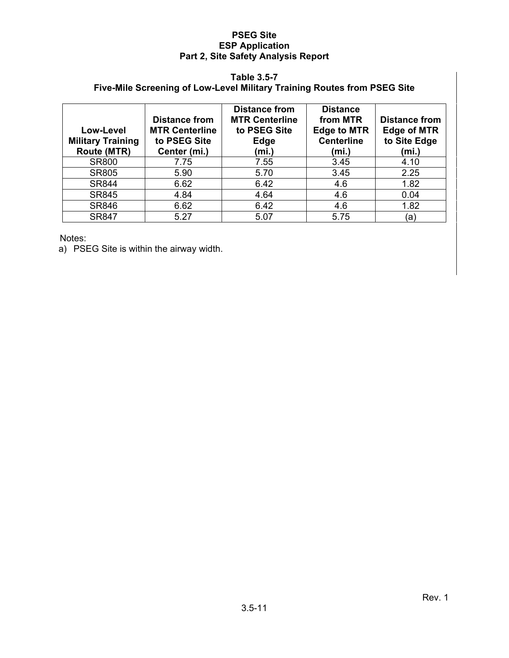## **Table 3.5-7**

# **Five-Mile Screening of Low-Level Military Training Routes from PSEG Site**

| Low-Level<br><b>Military Training</b><br><b>Route (MTR)</b> | <b>Distance from</b><br><b>MTR Centerline</b><br>to PSEG Site<br>Center (mi.) | <b>Distance from</b><br><b>MTR Centerline</b><br>to PSEG Site<br>Edge<br>(mi.) | <b>Distance</b><br>from MTR<br><b>Edge to MTR</b><br><b>Centerline</b><br>(mi.) | <b>Distance from</b><br><b>Edge of MTR</b><br>to Site Edge<br>(mi.) |
|-------------------------------------------------------------|-------------------------------------------------------------------------------|--------------------------------------------------------------------------------|---------------------------------------------------------------------------------|---------------------------------------------------------------------|
| <b>SR800</b>                                                | 7.75                                                                          | 7.55                                                                           | 3.45                                                                            | 4.10                                                                |
| <b>SR805</b>                                                | 5.90                                                                          | 5.70                                                                           | 3.45                                                                            | 2.25                                                                |
| <b>SR844</b>                                                | 6.62                                                                          | 6.42                                                                           | 4.6                                                                             | 1.82                                                                |
| <b>SR845</b>                                                | 4.84                                                                          | 4.64                                                                           | 4.6                                                                             | 0.04                                                                |
| <b>SR846</b>                                                | 6.62                                                                          | 6.42                                                                           | 4.6                                                                             | 1.82                                                                |
| <b>SR847</b>                                                | 5.27                                                                          | 5.07                                                                           | 5.75                                                                            | (a)                                                                 |

Notes:

a) PSEG Site is within the airway width.